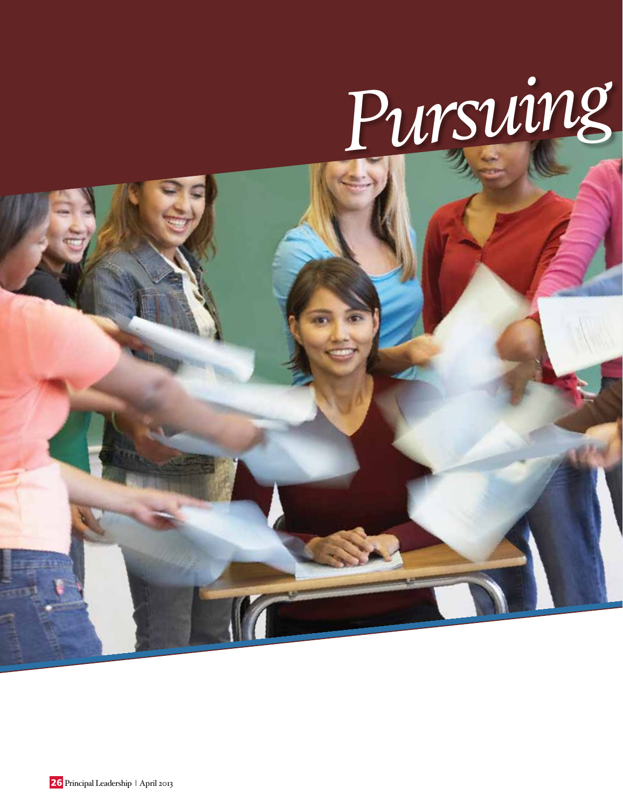# *Pursuing*

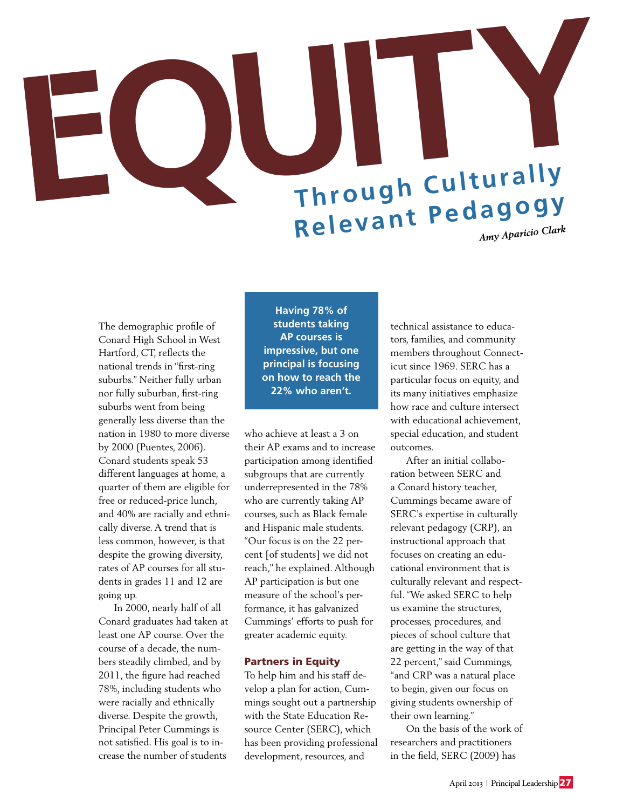# <sup>=</sup>**QUITY Through Culturally Relevant Pedagogy** *Amy Aparicio Clark*

The demographic profile of Conard High School in West Hartford, CT, reflects the national trends in "first-ring suburbs." Neither fully urban nor fully suburban, first-ring suburbs went from being generally less diverse than the nation in 1980 to more diverse by 2000 (Puentes, 2006). Conard students speak 53 different languages at home, a quarter of them are eligible for free or reduced-price lunch, and 40% are racially and ethnically diverse. A trend that is less common, however, is that despite the growing diversity, rates of AP courses for all students in grades 11 and 12 are going up.

In 2000, nearly half of all Conard graduates had taken at least one AP course. Over the course of a decade, the numbers steadily climbed, and by 2011, the figure had reached 78%, including students who were racially and ethnically diverse. Despite the growth, Principal Peter Cummings is not satisfied. His goal is to increase the number of students

**Having 78% of students taking AP courses is impressive, but one principal is focusing on how to reach the 22% who aren't.**

who achieve at least a 3 on their AP exams and to increase participation among identified subgroups that are currently underrepresented in the 78% who are currently taking AP courses, such as Black female and Hispanic male students. "Our focus is on the 22 percent [of students] we did not reach," he explained. Although AP participation is but one measure of the school's performance, it has galvanized Cummings' efforts to push for greater academic equity.

#### Partners in Equity

To help him and his staff develop a plan for action, Cummings sought out a partnership with the State Education Resource Center (SERC), which has been providing professional development, resources, and

technical assistance to educators, families, and community members throughout Connecticut since 1969. SERC has a particular focus on equity, and its many initiatives emphasize how race and culture intersect with educational achievement, special education, and student outcomes.

After an initial collaboration between SERC and a Conard history teacher, Cummings became aware of SERC's expertise in culturally relevant pedagogy (CRP), an instructional approach that focuses on creating an educational environment that is culturally relevant and respectful. "We asked SERC to help us examine the structures, processes, procedures, and pieces of school culture that are getting in the way of that 22 percent," said Cummings, "and CRP was a natural place to begin, given our focus on giving students ownership of their own learning."

On the basis of the work of researchers and practitioners in the field, SERC (2009) has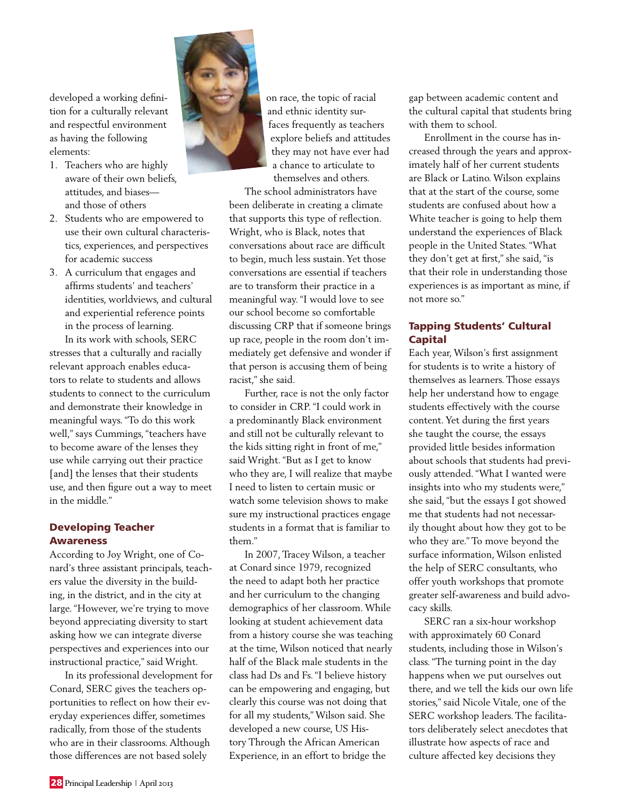developed a working definition for a culturally relevant and respectful environment as having the following elements:

- 1. Teachers who are highly aware of their own beliefs, attitudes, and biases and those of others
- 2. Students who are empowered to use their own cultural characteristics, experiences, and perspectives for academic success
- 3. A curriculum that engages and affirms students' and teachers' identities, worldviews, and cultural and experiential reference points in the process of learning.

In its work with schools, SERC stresses that a culturally and racially relevant approach enables educators to relate to students and allows students to connect to the curriculum and demonstrate their knowledge in meaningful ways. "To do this work well," says Cummings, "teachers have to become aware of the lenses they use while carrying out their practice [and] the lenses that their students use, and then figure out a way to meet in the middle."

## Developing Teacher Awareness

According to Joy Wright, one of Conard's three assistant principals, teachers value the diversity in the building, in the district, and in the city at large. "However, we're trying to move beyond appreciating diversity to start asking how we can integrate diverse perspectives and experiences into our instructional practice," said Wright.

In its professional development for Conard, SERC gives the teachers opportunities to reflect on how their everyday experiences differ, sometimes radically, from those of the students who are in their classrooms. Although those differences are not based solely



on race, the topic of racial and ethnic identity surfaces frequently as teachers explore beliefs and attitudes they may not have ever had a chance to articulate to themselves and others.

The school administrators have been deliberate in creating a climate that supports this type of reflection. Wright, who is Black, notes that conversations about race are difficult to begin, much less sustain. Yet those conversations are essential if teachers are to transform their practice in a meaningful way. "I would love to see our school become so comfortable discussing CRP that if someone brings up race, people in the room don't immediately get defensive and wonder if that person is accusing them of being racist," she said.

Further, race is not the only factor to consider in CRP. "I could work in a predominantly Black environment and still not be culturally relevant to the kids sitting right in front of me," said Wright. "But as I get to know who they are, I will realize that maybe I need to listen to certain music or watch some television shows to make sure my instructional practices engage students in a format that is familiar to them"

In 2007, Tracey Wilson, a teacher at Conard since 1979, recognized the need to adapt both her practice and her curriculum to the changing demographics of her classroom. While looking at student achievement data from a history course she was teaching at the time, Wilson noticed that nearly half of the Black male students in the class had Ds and Fs. "I believe history can be empowering and engaging, but clearly this course was not doing that for all my students," Wilson said. She developed a new course, US History Through the African American Experience, in an effort to bridge the

gap between academic content and the cultural capital that students bring with them to school.

Enrollment in the course has increased through the years and approximately half of her current students are Black or Latino. Wilson explains that at the start of the course, some students are confused about how a White teacher is going to help them understand the experiences of Black people in the United States. "What they don't get at first," she said, "is that their role in understanding those experiences is as important as mine, if not more so."

## Tapping Students' Cultural Capital

Each year, Wilson's first assignment for students is to write a history of themselves as learners. Those essays help her understand how to engage students effectively with the course content. Yet during the first years she taught the course, the essays provided little besides information about schools that students had previously attended. "What I wanted were insights into who my students were," she said, "but the essays I got showed me that students had not necessarily thought about how they got to be who they are." To move beyond the surface information, Wilson enlisted the help of SERC consultants, who offer youth workshops that promote greater self-awareness and build advocacy skills.

SERC ran a six-hour workshop with approximately 60 Conard students, including those in Wilson's class. "The turning point in the day happens when we put ourselves out there, and we tell the kids our own life stories," said Nicole Vitale, one of the SERC workshop leaders. The facilitators deliberately select anecdotes that illustrate how aspects of race and culture affected key decisions they